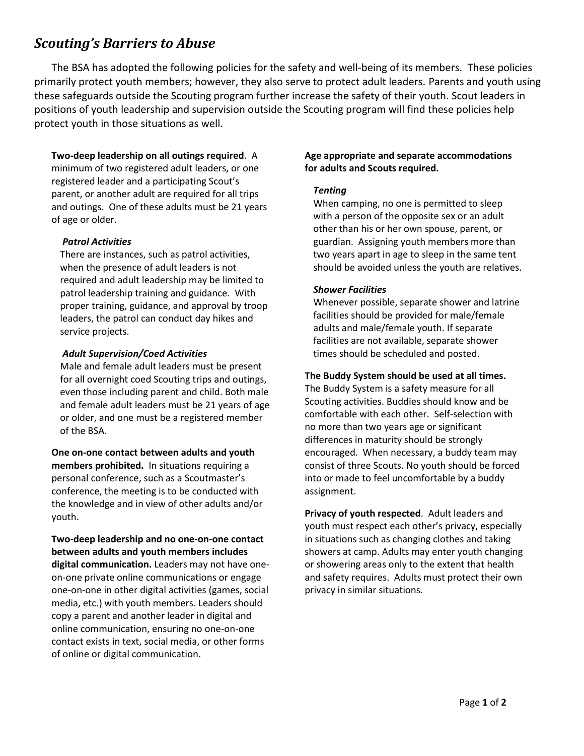# *Scouting's Barriers to Abuse*

The BSA has adopted the following policies for the safety and well-being of its members. These policies primarily protect youth members; however, they also serve to protect adult leaders. Parents and youth using these safeguards outside the Scouting program further increase the safety of their youth. Scout leaders in positions of youth leadership and supervision outside the Scouting program will find these policies help protect youth in those situations as well.

## **Two-deep leadership on all outings required**. A

minimum of two registered adult leaders, or one registered leader and a participating Scout's parent, or another adult are required for all trips and outings. One of these adults must be 21 years of age or older.

## *Patrol Activities*

There are instances, such as patrol activities, when the presence of adult leaders is not required and adult leadership may be limited to patrol leadership training and guidance. With proper training, guidance, and approval by troop leaders, the patrol can conduct day hikes and service projects.

## *Adult Supervision/Coed Activities*

Male and female adult leaders must be present for all overnight coed Scouting trips and outings, even those including parent and child. Both male and female adult leaders must be 21 years of age or older, and one must be a registered member of the BSA.

## **One on-one contact between adults and youth members prohibited.** In situations requiring a personal conference, such as a Scoutmaster's conference, the meeting is to be conducted with the knowledge and in view of other adults and/or youth.

**Two-deep leadership and no one-on-one contact between adults and youth members includes digital communication.** Leaders may not have oneon-one private online communications or engage one-on-one in other digital activities (games, social media, etc.) with youth members. Leaders should copy a parent and another leader in digital and online communication, ensuring no one-on-one contact exists in text, social media, or other forms of online or digital communication.

## **Age appropriate and separate accommodations for adults and Scouts required.**

## *Tenting*

When camping, no one is permitted to sleep with a person of the opposite sex or an adult other than his or her own spouse, parent, or guardian. Assigning youth members more than two years apart in age to sleep in the same tent should be avoided unless the youth are relatives.

## *Shower Facilities*

Whenever possible, separate shower and latrine facilities should be provided for male/female adults and male/female youth. If separate facilities are not available, separate shower times should be scheduled and posted.

## **The Buddy System should be used at all times.**

The Buddy System is a safety measure for all Scouting activities. Buddies should know and be comfortable with each other. Self-selection with no more than two years age or significant differences in maturity should be strongly encouraged. When necessary, a buddy team may consist of three Scouts. No youth should be forced into or made to feel uncomfortable by a buddy assignment.

**Privacy of youth respected**. Adult leaders and youth must respect each other's privacy, especially in situations such as changing clothes and taking showers at camp. Adults may enter youth changing or showering areas only to the extent that health and safety requires. Adults must protect their own privacy in similar situations.